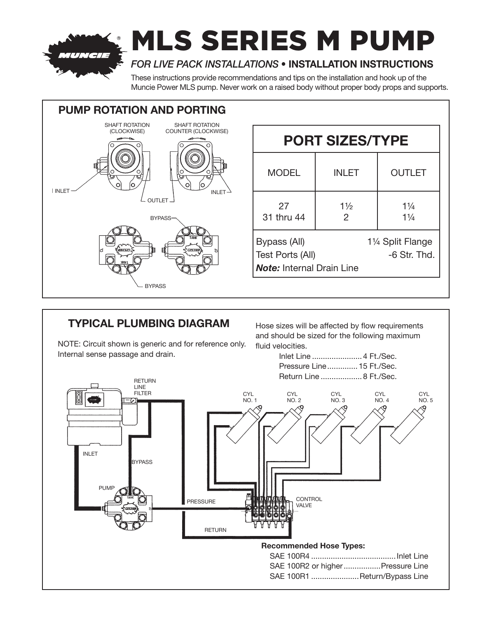

# MLS SERIES M PUMP

#### *FOR LIVE PACK INSTALLATIONS* • **INSTALLATION INSTRUCTIONS**

These instructions provide recommendations and tips on the installation and hook up of the Muncie Power MLS pump. Never work on a raised body without proper body props and supports.



#### **TYPICAL PLUMBING DIAGRAM**

NOTE: Circuit shown is generic and for reference only. Internal sense passage and drain.

Hose sizes will be affected by flow requirements and should be sized for the following maximum fluid velocities.

Inlet Line ....................... 4 Ft./Sec. Pressure Line.............. 15 Ft./Sec. Return Line ................... 8 Ft./Sec.